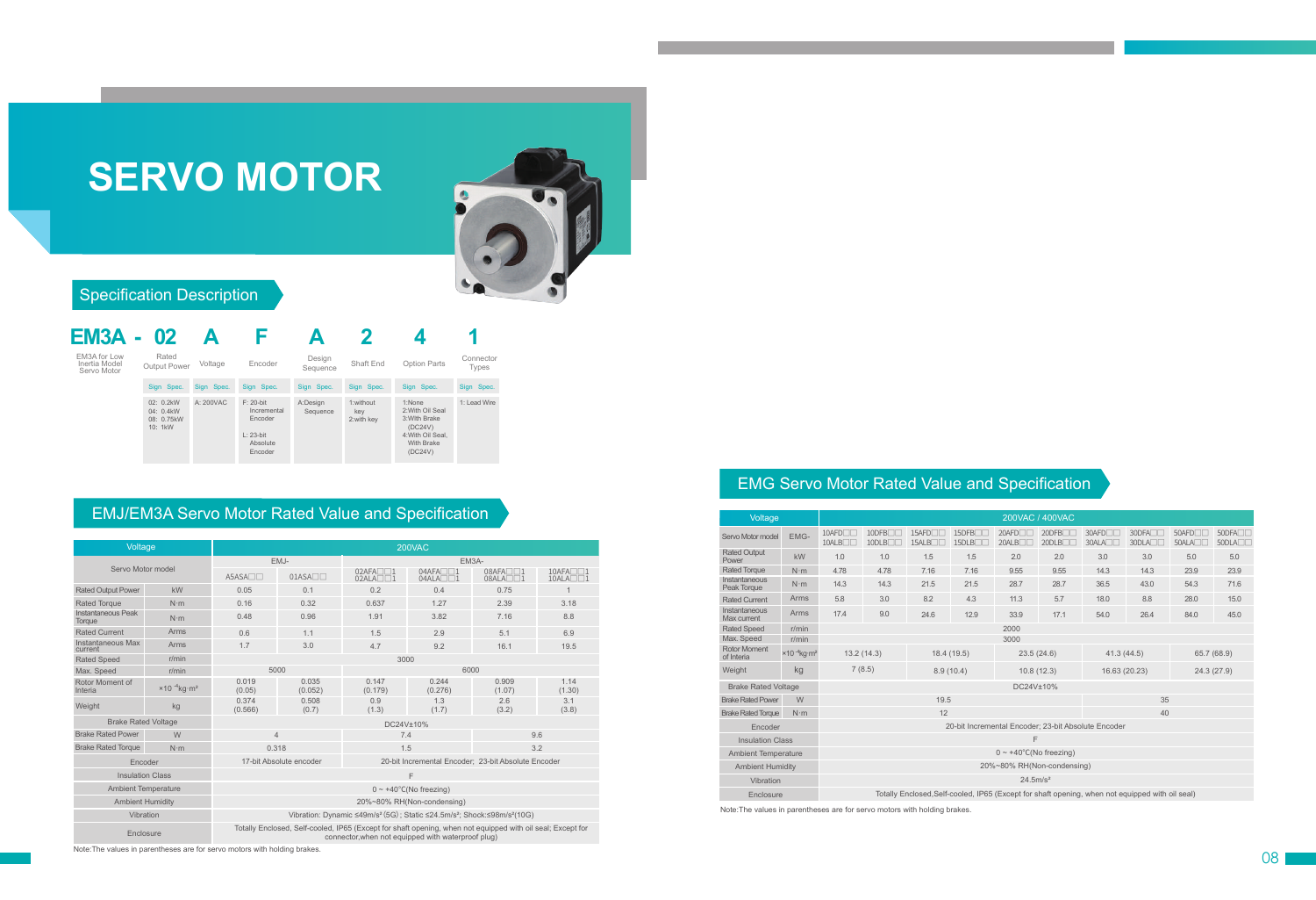# **SERVO MOTOR**



### Specification Description

| <b>EM3A - 02</b>                             |                                                    |            |                                                                               |                      |                                 |                                                                                                             |                    |  |  |
|----------------------------------------------|----------------------------------------------------|------------|-------------------------------------------------------------------------------|----------------------|---------------------------------|-------------------------------------------------------------------------------------------------------------|--------------------|--|--|
| EM3A for Low<br>Inertia Model<br>Servo Motor | Rated<br>Voltage<br><b>Output Power</b>            |            | Encoder                                                                       | Design<br>Sequence   | Shaft End                       | Option Parts                                                                                                | Connector<br>Types |  |  |
|                                              | Sign Spec.                                         | Sign Spec. | Sign Spec.                                                                    | Sign Spec.           | Sign Spec.                      | Sign Spec.                                                                                                  | Sign Spec.         |  |  |
|                                              | $02: 0.2$ kW<br>04: 0.4kW<br>08: 0.75kW<br>10: 1kW | A: 200VAC  | $F: 20$ -bit<br>Incremental<br>Encoder<br>$L: 23$ -bit<br>Absolute<br>Encoder | A:Design<br>Sequence | 1:without<br>key<br>2: with key | 1:None<br>2: With Oil Seal<br>3: With Brake<br>(DC24V)<br>4: With Oil Seal.<br><b>With Brake</b><br>(DC24V) | 1: Lead Wire       |  |  |

## EMJ/EM3A Servo Motor Rated Value and Specification

| Voltage                      |                                             | 200VAC                                                                                                                                                           |                   |                  |                         |                         |                                            |  |  |  |  |  |  |
|------------------------------|---------------------------------------------|------------------------------------------------------------------------------------------------------------------------------------------------------------------|-------------------|------------------|-------------------------|-------------------------|--------------------------------------------|--|--|--|--|--|--|
| Servo Motor model            |                                             |                                                                                                                                                                  | EMJ-              | EM3A-            |                         |                         |                                            |  |  |  |  |  |  |
|                              |                                             | $A5ASA\n0$                                                                                                                                                       | $01ASA\n\neg\neg$ | $02AFA \Box 1$   | $04AFA \n\n04ALA \n\n1$ | $08AFA \n\n08ALA \n\n1$ | $10AFA \Box \Box 1$<br>$10ALA \Box \Box 1$ |  |  |  |  |  |  |
| <b>Rated Output Power</b>    | kW                                          | 0.05                                                                                                                                                             | 0.1               | 0.2              | 0.4                     | 0.75                    | 1                                          |  |  |  |  |  |  |
| <b>Rated Torque</b>          | $N \cdot m$                                 | 0.16                                                                                                                                                             | 0.32              | 0.637            | 1.27                    | 2.39                    | 3.18                                       |  |  |  |  |  |  |
| Instantaneous Peak<br>Torque | $N \cdot m$                                 | 0.48                                                                                                                                                             | 0.96              | 1.91             | 3.82                    | 7.16                    | 8.8                                        |  |  |  |  |  |  |
| <b>Rated Current</b>         | Arms                                        | 0.6                                                                                                                                                              | 1.1               | 1.5              | 2.9                     | 5.1                     | 6.9                                        |  |  |  |  |  |  |
| Instantaneous Max<br>current | Arms                                        | 1.7                                                                                                                                                              | 3.0               | 4.7              | 9.2                     | 16.1                    | 19.5                                       |  |  |  |  |  |  |
| <b>Rated Speed</b>           | r/min                                       | 3000                                                                                                                                                             |                   |                  |                         |                         |                                            |  |  |  |  |  |  |
| Max. Speed                   | r/min                                       | 5000                                                                                                                                                             |                   |                  | 6000                    |                         |                                            |  |  |  |  |  |  |
| Rotor Moment of<br>Interia   | $\times$ 10 <sup>-4</sup> kg·m <sup>2</sup> | 0.019<br>(0.05)                                                                                                                                                  | 0.035<br>(0.052)  | 0.147<br>(0.179) | 0.244<br>(0.276)        | 0.909<br>(1.07)         | 1.14<br>(1.30)                             |  |  |  |  |  |  |
| Weight                       | kg                                          | 0.374<br>(0.566)                                                                                                                                                 | 0.508<br>(0.7)    | 0.9<br>(1.3)     | 1.3<br>(1.7)            | 2.6<br>(3.2)            | 3.1<br>(3.8)                               |  |  |  |  |  |  |
| <b>Brake Rated Voltage</b>   |                                             | DC24V±10%                                                                                                                                                        |                   |                  |                         |                         |                                            |  |  |  |  |  |  |
| <b>Brake Rated Power</b>     | W                                           | $\overline{4}$                                                                                                                                                   |                   | 7.4              |                         | 9.6                     |                                            |  |  |  |  |  |  |
| <b>Brake Rated Torque</b>    | $N \cdot m$                                 | 0.318                                                                                                                                                            |                   | 1.5              |                         | 3.2                     |                                            |  |  |  |  |  |  |
| Encoder                      |                                             | 17-bit Absolute encoder<br>20-bit Incremental Encoder; 23-bit Absolute Encoder                                                                                   |                   |                  |                         |                         |                                            |  |  |  |  |  |  |
| <b>Insulation Class</b>      |                                             | F                                                                                                                                                                |                   |                  |                         |                         |                                            |  |  |  |  |  |  |
| <b>Ambient Temperature</b>   |                                             | $0 \sim +40^{\circ}$ C(No freezing)                                                                                                                              |                   |                  |                         |                         |                                            |  |  |  |  |  |  |
| <b>Ambient Humidity</b>      |                                             | 20%~80% RH(Non-condensing)                                                                                                                                       |                   |                  |                         |                         |                                            |  |  |  |  |  |  |
| Vibration                    |                                             | Vibration: Dynamic ≤49m/s <sup>2</sup> (5G); Static ≤24.5m/s <sup>2</sup> ; Shock:≤98m/s <sup>2</sup> (10G)                                                      |                   |                  |                         |                         |                                            |  |  |  |  |  |  |
| Enclosure                    |                                             | Totally Enclosed, Self-cooled, IP65 (Except for shaft opening, when not equipped with oil seal; Except for<br>connector, when not equipped with waterproof plug) |                   |                  |                         |                         |                                            |  |  |  |  |  |  |

Note:The values in parentheses are for servo motors with holding brakes.